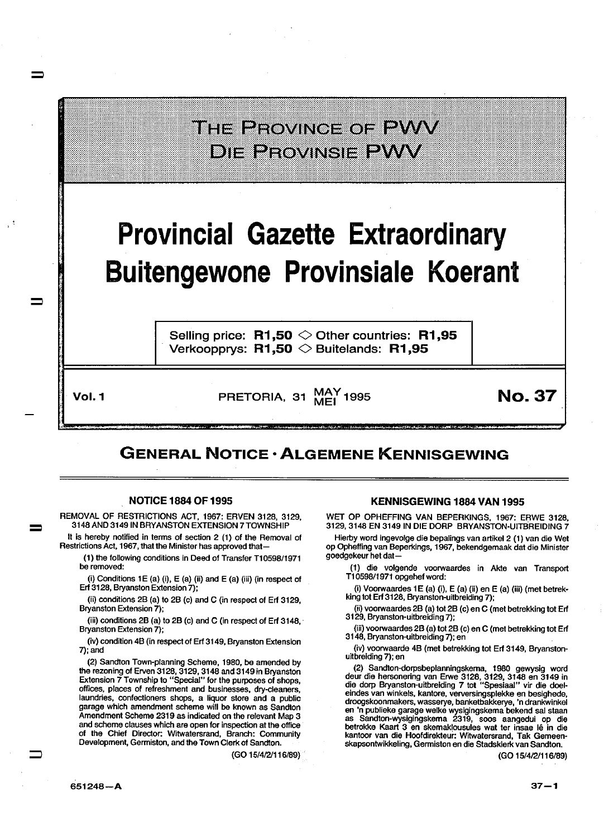

## Provincial Gazette Extraordinary Buitengewone Provinsiale Koerant

Selling price:  $R1,50 \diamond 0$ ther countries: R1,95 Verkoopprys:  $R1,50$   $\diamond$  Buitelands: R1.95

=

 $\equiv$ 

Vol. 1 **PRETORIA, 31 MAY 1995** MO. 37

## GENERAL NOTICE· ALGEMENE KENNISGEWING

## NOTICE 1884 OF 1995

REMOVAL OF RESTRICTIONS ACT, 1967: ERVEN 3128, 3129, 3148 AND 3149 IN BRYANSTON EXTENSION 7 TOWNSHIP

It is hereby notified in terms of section 2 (1) of the Removal of Restrictions Act, 1967, that the Minister has approved that-

(1) the following conditions in Deed of Transfer T1 0598/1971 be removed:

(i) Conditions 1E (a) (i),  $E$  (a) (ii) and  $E$  (a) (iii) (in respect of Erf 3128, Bryanston Extension 7);

(ii) conditions 28 (a) to 28 (c) and C (in respect of Erf 3129, Bryanston Extension 7);

(iii) conditions 28 (a) to 28 (c) and C (in respect of Erf 3148, · Bryanston Extension 7);

(iv) condition 48 (in respect of Erf 3149, Bryanston Extension 7); and

(2) Sandton Town-planning Scheme, 1980, be amended by the rezoning of Erven 3128, 3129, 3148 and 3149 in Bryanston Extension 7 Township to "Special" for the purposes of shops, offices, places of refreshment and businesses, dry-cleaners, laundries, confectioners shops, a liquor store and a public garage which amendment scheme will be known as Sandlon Amendment Scheme 2319 as indicated on the relevant Map 3 and scheme clauses which are open for inspection at the office of the Chief Director: Witwatersrand, Branch: Community Development, Gerrniston, and the Town Clerk of Sandlon.

(GO 15/4/2/116/89)

## KENNISGEWING 1884 VAN 1995

WET OP OPHEFFING VAN BEPERKINGS, 1967: ERWE 3128, 3129, 3148 EN 3149 IN DIE DORP BRYANSTON-UITBREIDING 7

Hierby word ingevolge die bepalings van artikel 2 (1) van die Wet op Opheffing van Beperkings, 1967, bekendgemaak dat die Minister goedgekeur het dat-

(1) die volgende voorwaardes in Akle van Transport T10598/1971 opgehefword:

(i) Voorwaardes 1E (a) (i), E (a) (ii) en E (a) (iii) (met betrekking tot Erf 3128, Bryanston-uitbreiding 7);

(ii) voorwaardes 28 (a) tot 28 (c) en C (met betrekking tot Erf 3129, Bryanston-uitbreiding 7);

(iii) voorwaardes 28 (a) tot 28 (c) en C (met betrekking tot Erf 3148, Bryanston-uitbreiding 7); en

(iv) voorwaarde 48 (met betrekking tot Erf 3149, Bryanstonuitbreiding 7); en

(2) Sandlon-dorpsbeplanningskema, 1980 gewysig word deur die hersonering van Erwe 3128, 3129, 3148 en 3149 in die dorp Bryanston-uitbreiding 7 tot "Spesiaal" vir die doeleindes van winkels, kantore, verversingsplekke en besighede, droogskoonmakers, wasserye, banketbakkerye, 'n drankwinkel en 'n publieke garage welke wysigingskema bekend sal staan as Sandton-wysigingskema 2319, soos aangedui op die betrokke Kaart 3 en skemaklousules wat ter insae lê in die kantoor van die Hoofdirekleur: Witwatersrand, Tak Gemeenskapsontwikkeling, Gerrniston en die Stadsklerk van Sandton.

(GO 15/4/2/116/89)